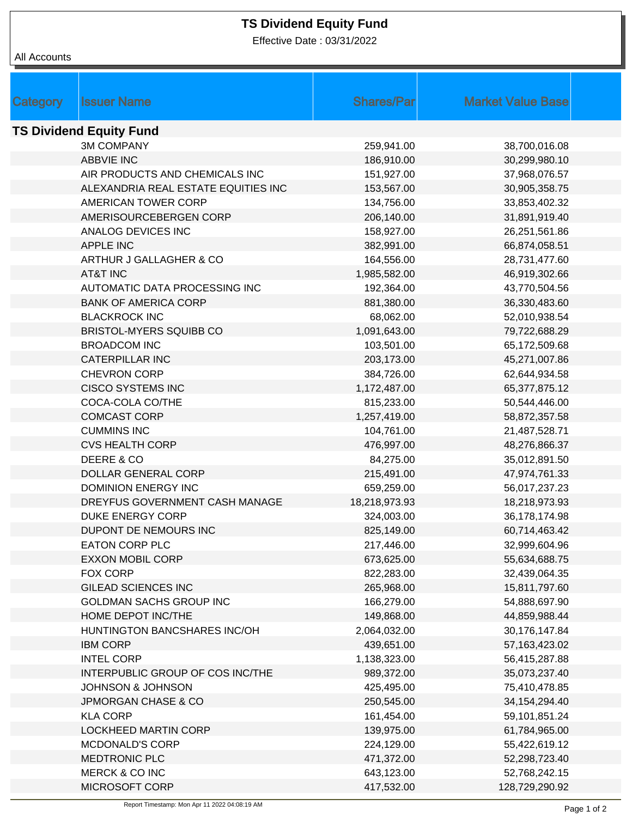## **TS Dividend Equity Fund**

Effective Date : 03/31/2022

| All Accounts |
|--------------|
|              |

|                                |                                     | <b>Shares/Parl</b> |                          |  |  |  |  |  |
|--------------------------------|-------------------------------------|--------------------|--------------------------|--|--|--|--|--|
| Category                       | <b>Issuer Name</b>                  |                    | <b>Market Value Base</b> |  |  |  |  |  |
| <b>TS Dividend Equity Fund</b> |                                     |                    |                          |  |  |  |  |  |
|                                | <b>3M COMPANY</b>                   | 259,941.00         | 38,700,016.08            |  |  |  |  |  |
|                                | <b>ABBVIE INC</b>                   | 186,910.00         | 30,299,980.10            |  |  |  |  |  |
|                                | AIR PRODUCTS AND CHEMICALS INC      | 151,927.00         | 37,968,076.57            |  |  |  |  |  |
|                                | ALEXANDRIA REAL ESTATE EQUITIES INC | 153,567.00         | 30,905,358.75            |  |  |  |  |  |
|                                | AMERICAN TOWER CORP                 | 134,756.00         | 33,853,402.32            |  |  |  |  |  |
|                                | AMERISOURCEBERGEN CORP              | 206,140.00         | 31,891,919.40            |  |  |  |  |  |
|                                | ANALOG DEVICES INC                  | 158,927.00         | 26,251,561.86            |  |  |  |  |  |
|                                | <b>APPLE INC</b>                    | 382,991.00         | 66,874,058.51            |  |  |  |  |  |
|                                | ARTHUR J GALLAGHER & CO             | 164,556.00         | 28,731,477.60            |  |  |  |  |  |
|                                | <b>AT&amp;T INC</b>                 | 1,985,582.00       | 46,919,302.66            |  |  |  |  |  |
|                                | AUTOMATIC DATA PROCESSING INC       | 192,364.00         | 43,770,504.56            |  |  |  |  |  |
|                                | <b>BANK OF AMERICA CORP</b>         | 881,380.00         | 36,330,483.60            |  |  |  |  |  |
|                                | <b>BLACKROCK INC</b>                | 68,062.00          | 52,010,938.54            |  |  |  |  |  |
|                                | <b>BRISTOL-MYERS SQUIBB CO</b>      | 1,091,643.00       | 79,722,688.29            |  |  |  |  |  |
|                                | <b>BROADCOM INC</b>                 | 103,501.00         | 65,172,509.68            |  |  |  |  |  |
|                                | <b>CATERPILLAR INC</b>              | 203,173.00         | 45,271,007.86            |  |  |  |  |  |
|                                | <b>CHEVRON CORP</b>                 | 384,726.00         | 62,644,934.58            |  |  |  |  |  |
|                                | <b>CISCO SYSTEMS INC</b>            | 1,172,487.00       | 65,377,875.12            |  |  |  |  |  |
|                                | COCA-COLA CO/THE                    | 815,233.00         | 50,544,446.00            |  |  |  |  |  |
|                                | <b>COMCAST CORP</b>                 | 1,257,419.00       | 58,872,357.58            |  |  |  |  |  |
|                                | <b>CUMMINS INC</b>                  | 104,761.00         | 21,487,528.71            |  |  |  |  |  |
|                                | <b>CVS HEALTH CORP</b>              | 476,997.00         | 48,276,866.37            |  |  |  |  |  |
|                                | DEERE & CO                          | 84,275.00          | 35,012,891.50            |  |  |  |  |  |
|                                | <b>DOLLAR GENERAL CORP</b>          | 215,491.00         | 47,974,761.33            |  |  |  |  |  |
|                                | <b>DOMINION ENERGY INC</b>          | 659,259.00         | 56,017,237.23            |  |  |  |  |  |
|                                | DREYFUS GOVERNMENT CASH MANAGE      | 18,218,973.93      | 18,218,973.93            |  |  |  |  |  |
|                                | <b>DUKE ENERGY CORP</b>             | 324,003.00         | 36,178,174.98            |  |  |  |  |  |
|                                | DUPONT DE NEMOURS INC               | 825,149.00         | 60,714,463.42            |  |  |  |  |  |
|                                | EATON CORP PLC                      | 217,446.00         | 32,999,604.96            |  |  |  |  |  |
|                                | <b>EXXON MOBIL CORP</b>             | 673,625.00         | 55,634,688.75            |  |  |  |  |  |
|                                | FOX CORP                            | 822,283.00         | 32,439,064.35            |  |  |  |  |  |
|                                | <b>GILEAD SCIENCES INC</b>          | 265,968.00         | 15,811,797.60            |  |  |  |  |  |
|                                | GOLDMAN SACHS GROUP INC             | 166,279.00         | 54,888,697.90            |  |  |  |  |  |
|                                | HOME DEPOT INC/THE                  | 149,868.00         | 44,859,988.44            |  |  |  |  |  |
|                                | HUNTINGTON BANCSHARES INC/OH        | 2,064,032.00       | 30,176,147.84            |  |  |  |  |  |
|                                | <b>IBM CORP</b>                     | 439,651.00         | 57, 163, 423. 02         |  |  |  |  |  |
|                                | <b>INTEL CORP</b>                   | 1,138,323.00       | 56,415,287.88            |  |  |  |  |  |
|                                | INTERPUBLIC GROUP OF COS INC/THE    | 989,372.00         | 35,073,237.40            |  |  |  |  |  |
|                                | <b>JOHNSON &amp; JOHNSON</b>        | 425,495.00         | 75,410,478.85            |  |  |  |  |  |
|                                | <b>JPMORGAN CHASE &amp; CO</b>      | 250,545.00         | 34, 154, 294. 40         |  |  |  |  |  |
|                                | <b>KLA CORP</b>                     | 161,454.00         | 59,101,851.24            |  |  |  |  |  |
|                                | <b>LOCKHEED MARTIN CORP</b>         | 139,975.00         | 61,784,965.00            |  |  |  |  |  |
|                                | <b>MCDONALD'S CORP</b>              | 224,129.00         | 55,422,619.12            |  |  |  |  |  |
|                                | MEDTRONIC PLC                       | 471,372.00         | 52,298,723.40            |  |  |  |  |  |
|                                | MERCK & CO INC                      | 643,123.00         | 52,768,242.15            |  |  |  |  |  |
|                                | MICROSOFT CORP                      | 417,532.00         | 128,729,290.92           |  |  |  |  |  |
|                                |                                     |                    |                          |  |  |  |  |  |